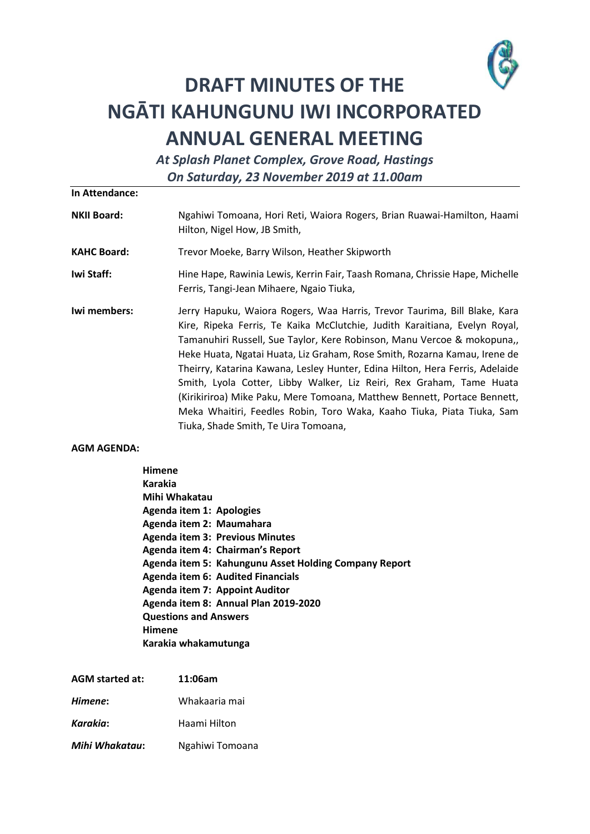

# **DRAFT MINUTES OF THE NGĀTI KAHUNGUNU IWI INCORPORATED ANNUAL GENERAL MEETING**

*At Splash Planet Complex, Grove Road, Hastings On Saturday, 23 November 2019 at 11.00am*

**In Attendance:**

- **NKII Board:** Ngahiwi Tomoana, Hori Reti, Waiora Rogers, Brian Ruawai-Hamilton, Haami Hilton, Nigel How, JB Smith,
- **KAHC Board:** Trevor Moeke, Barry Wilson, Heather Skipworth
- **Iwi Staff:** Hine Hape, Rawinia Lewis, Kerrin Fair, Taash Romana, Chrissie Hape, Michelle Ferris, Tangi-Jean Mihaere, Ngaio Tiuka,
- **Iwi members:** Jerry Hapuku, Waiora Rogers, Waa Harris, Trevor Taurima, Bill Blake, Kara Kire, Ripeka Ferris, Te Kaika McClutchie, Judith Karaitiana, Evelyn Royal, Tamanuhiri Russell, Sue Taylor, Kere Robinson, Manu Vercoe & mokopuna,, Heke Huata, Ngatai Huata, Liz Graham, Rose Smith, Rozarna Kamau, Irene de Theirry, Katarina Kawana, Lesley Hunter, Edina Hilton, Hera Ferris, Adelaide Smith, Lyola Cotter, Libby Walker, Liz Reiri, Rex Graham, Tame Huata (Kirikiriroa) Mike Paku, Mere Tomoana, Matthew Bennett, Portace Bennett, Meka Whaitiri, Feedles Robin, Toro Waka, Kaaho Tiuka, Piata Tiuka, Sam Tiuka, Shade Smith, Te Uira Tomoana,

## **AGM AGENDA:**

**Himene Karakia Mihi Whakatau Agenda item 1: Apologies Agenda item 2: Maumahara Agenda item 3: Previous Minutes Agenda item 4: Chairman's Report Agenda item 5: Kahungunu Asset Holding Company Report Agenda item 6: Audited Financials Agenda item 7: Appoint Auditor Agenda item 8: Annual Plan 2019-2020 Questions and Answers Himene Karakia whakamutunga**

| <b>AGM</b> started at: | 11:06am         |
|------------------------|-----------------|
| Himene:                | Whakaaria mai   |
| Karakia:               | Haami Hilton    |
| Mihi Whakatau:         | Ngahiwi Tomoana |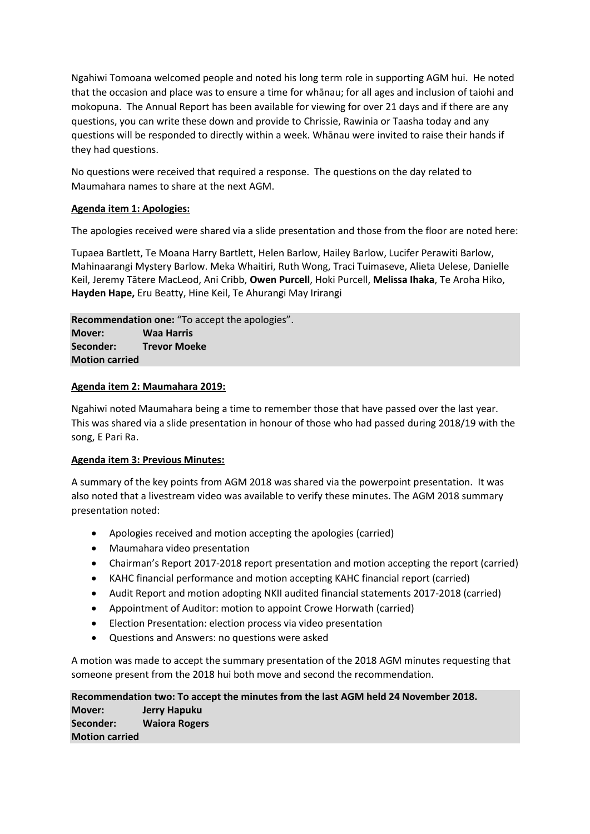Ngahiwi Tomoana welcomed people and noted his long term role in supporting AGM hui. He noted that the occasion and place was to ensure a time for whānau; for all ages and inclusion of taiohi and mokopuna. The Annual Report has been available for viewing for over 21 days and if there are any questions, you can write these down and provide to Chrissie, Rawinia or Taasha today and any questions will be responded to directly within a week. Whānau were invited to raise their hands if they had questions.

No questions were received that required a response. The questions on the day related to Maumahara names to share at the next AGM.

# **Agenda item 1: Apologies:**

The apologies received were shared via a slide presentation and those from the floor are noted here:

Tupaea Bartlett, Te Moana Harry Bartlett, Helen Barlow, Hailey Barlow, Lucifer Perawiti Barlow, Mahinaarangi Mystery Barlow. Meka Whaitiri, Ruth Wong, Traci Tuimaseve, Alieta Uelese, Danielle Keil, Jeremy Tātere MacLeod, Ani Cribb, **Owen Purcell**, Hoki Purcell, **Melissa Ihaka**, Te Aroha Hiko, **Hayden Hape,** Eru Beatty, Hine Keil, Te Ahurangi May Irirangi

**Recommendation one:** "To accept the apologies". **Mover: Waa Harris Seconder: Trevor Moeke Motion carried**

## **Agenda item 2: Maumahara 2019:**

Ngahiwi noted Maumahara being a time to remember those that have passed over the last year. This was shared via a slide presentation in honour of those who had passed during 2018/19 with the song, E Pari Ra.

# **Agenda item 3: Previous Minutes:**

A summary of the key points from AGM 2018 was shared via the powerpoint presentation. It was also noted that a livestream video was available to verify these minutes. The AGM 2018 summary presentation noted:

- Apologies received and motion accepting the apologies (carried)
- Maumahara video presentation
- Chairman's Report 2017-2018 report presentation and motion accepting the report (carried)
- KAHC financial performance and motion accepting KAHC financial report (carried)
- Audit Report and motion adopting NKII audited financial statements 2017-2018 (carried)
- Appointment of Auditor: motion to appoint Crowe Horwath (carried)
- Election Presentation: election process via video presentation
- Questions and Answers: no questions were asked

A motion was made to accept the summary presentation of the 2018 AGM minutes requesting that someone present from the 2018 hui both move and second the recommendation.

**Recommendation two: To accept the minutes from the last AGM held 24 November 2018. Mover: Jerry Hapuku Seconder: Waiora Rogers Motion carried**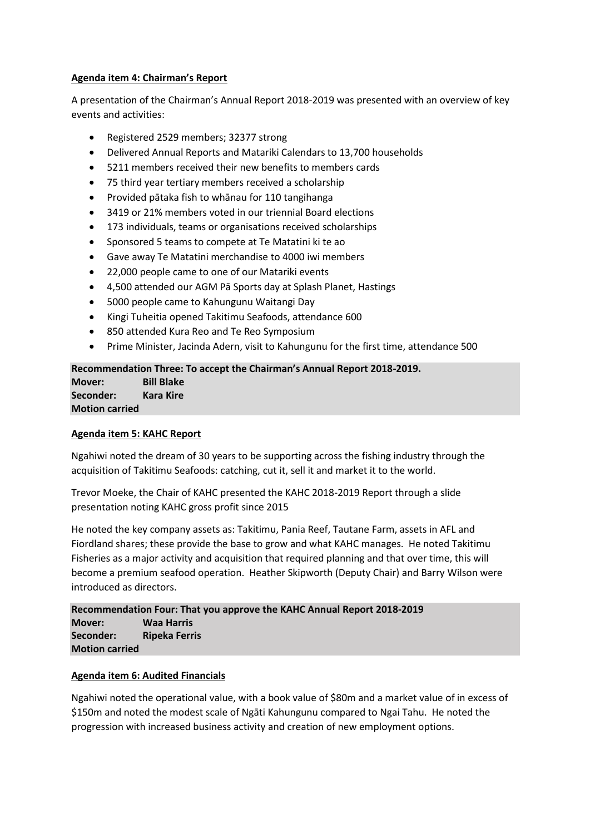# **Agenda item 4: Chairman's Report**

A presentation of the Chairman's Annual Report 2018-2019 was presented with an overview of key events and activities:

- Registered 2529 members; 32377 strong
- Delivered Annual Reports and Matariki Calendars to 13,700 households
- 5211 members received their new benefits to members cards
- 75 third year tertiary members received a scholarship
- Provided pātaka fish to whānau for 110 tangihanga
- 3419 or 21% members voted in our triennial Board elections
- 173 individuals, teams or organisations received scholarships
- Sponsored 5 teams to compete at Te Matatini ki te ao
- Gave away Te Matatini merchandise to 4000 iwi members
- 22,000 people came to one of our Matariki events
- 4,500 attended our AGM Pā Sports day at Splash Planet, Hastings
- 5000 people came to Kahungunu Waitangi Day
- Kingi Tuheitia opened Takitimu Seafoods, attendance 600
- 850 attended Kura Reo and Te Reo Symposium
- Prime Minister, Jacinda Adern, visit to Kahungunu for the first time, attendance 500

## **Recommendation Three: To accept the Chairman's Annual Report 2018-2019. Mover: Bill Blake Seconder: Kara Kire Motion carried**

# **Agenda item 5: KAHC Report**

Ngahiwi noted the dream of 30 years to be supporting across the fishing industry through the acquisition of Takitimu Seafoods: catching, cut it, sell it and market it to the world.

Trevor Moeke, the Chair of KAHC presented the KAHC 2018-2019 Report through a slide presentation noting KAHC gross profit since 2015

He noted the key company assets as: Takitimu, Pania Reef, Tautane Farm, assets in AFL and Fiordland shares; these provide the base to grow and what KAHC manages. He noted Takitimu Fisheries as a major activity and acquisition that required planning and that over time, this will become a premium seafood operation. Heather Skipworth (Deputy Chair) and Barry Wilson were introduced as directors.

**Recommendation Four: That you approve the KAHC Annual Report 2018-2019 Mover: Waa Harris Seconder: Ripeka Ferris Motion carried**

## **Agenda item 6: Audited Financials**

Ngahiwi noted the operational value, with a book value of \$80m and a market value of in excess of \$150m and noted the modest scale of Ngāti Kahungunu compared to Ngai Tahu. He noted the progression with increased business activity and creation of new employment options.